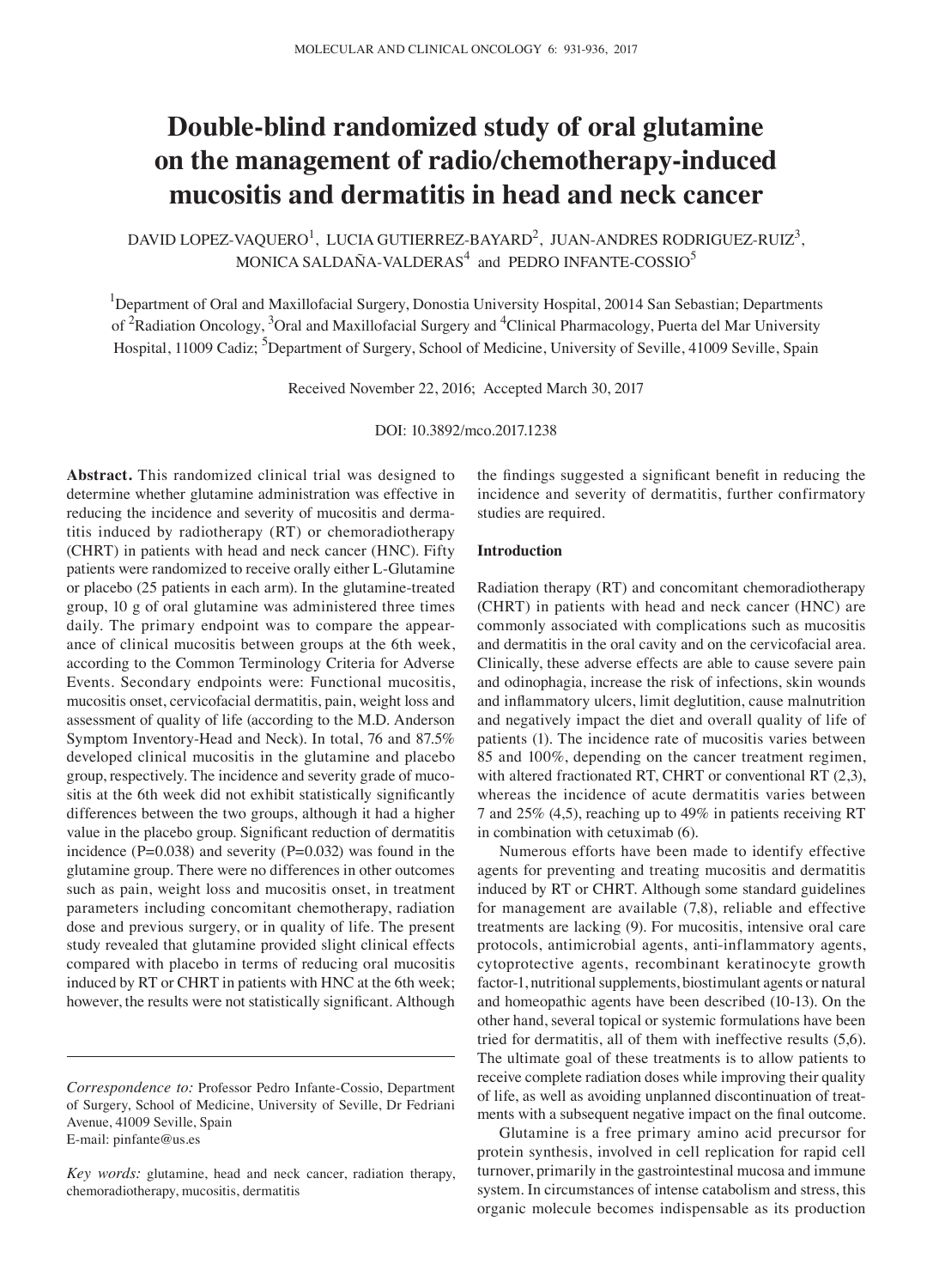# **Double‑blind randomized study of oral glutamine on the management of radio/chemotherapy‑induced mucositis and dermatitis in head and neck cancer**

DAVID LOPEZ-VAQUERO<sup>1</sup>, LUCIA GUTIERREZ-BAYARD<sup>2</sup>, JUAN-ANDRES RODRIGUEZ-RUIZ<sup>3</sup>, MONICA SALDAÑA-VALDERAS $^4$  and PEDRO INFANTE-COSSIO $^5$ 

<sup>1</sup>Department of Oral and Maxillofacial Surgery, Donostia University Hospital, 20014 San Sebastian; Departments of <sup>2</sup>Radiation Oncology, <sup>3</sup>Oral and Maxillofacial Surgery and <sup>4</sup>Clinical Pharmacology, Puerta del Mar University Hospital, 11009 Cadiz; <sup>5</sup>Department of Surgery, School of Medicine, University of Seville, 41009 Seville, Spain

Received November 22, 2016; Accepted March 30, 2017

DOI: 10.3892/mco.2017.1238

**Abstract.** This randomized clinical trial was designed to determine whether glutamine administration was effective in reducing the incidence and severity of mucositis and dermatitis induced by radiotherapy (RT) or chemoradiotherapy (CHRT) in patients with head and neck cancer (HNC). Fifty patients were randomized to receive orally either L-Glutamine or placebo (25 patients in each arm). In the glutamine-treated group, 10 g of oral glutamine was administered three times daily. The primary endpoint was to compare the appearance of clinical mucositis between groups at the 6th week, according to the Common Terminology Criteria for Adverse Events. Secondary endpoints were: Functional mucositis, mucositis onset, cervicofacial dermatitis, pain, weight loss and assessment of quality of life (according to the M.D. Anderson Symptom Inventory-Head and Neck). In total, 76 and 87.5% developed clinical mucositis in the glutamine and placebo group, respectively. The incidence and severity grade of mucositis at the 6th week did not exhibit statistically significantly differences between the two groups, although it had a higher value in the placebo group. Significant reduction of dermatitis incidence ( $P=0.038$ ) and severity ( $P=0.032$ ) was found in the glutamine group. There were no differences in other outcomes such as pain, weight loss and mucositis onset, in treatment parameters including concomitant chemotherapy, radiation dose and previous surgery, or in quality of life. The present study revealed that glutamine provided slight clinical effects compared with placebo in terms of reducing oral mucositis induced by RT or CHRT in patients with HNC at the 6th week; however, the results were not statistically significant. Although the findings suggested a significant benefit in reducing the incidence and severity of dermatitis, further confirmatory studies are required.

#### **Introduction**

Radiation therapy (RT) and concomitant chemoradiotherapy (CHRT) in patients with head and neck cancer (HNC) are commonly associated with complications such as mucositis and dermatitis in the oral cavity and on the cervicofacial area. Clinically, these adverse effects are able to cause severe pain and odinophagia, increase the risk of infections, skin wounds and inflammatory ulcers, limit deglutition, cause malnutrition and negatively impact the diet and overall quality of life of patients (1). The incidence rate of mucositis varies between 85 and 100%, depending on the cancer treatment regimen, with altered fractionated RT, CHRT or conventional RT  $(2,3)$ , whereas the incidence of acute dermatitis varies between 7 and 25% (4,5), reaching up to 49% in patients receiving RT in combination with cetuximab (6).

Numerous efforts have been made to identify effective agents for preventing and treating mucositis and dermatitis induced by RT or CHRT. Although some standard guidelines for management are available (7,8), reliable and effective treatments are lacking (9). For mucositis, intensive oral care protocols, antimicrobial agents, anti-inflammatory agents, cytoprotective agents, recombinant keratinocyte growth factor-1, nutritional supplements, biostimulant agents or natural and homeopathic agents have been described (10-13). On the other hand, several topical or systemic formulations have been tried for dermatitis, all of them with ineffective results (5,6). The ultimate goal of these treatments is to allow patients to receive complete radiation doses while improving their quality of life, as well as avoiding unplanned discontinuation of treatments with a subsequent negative impact on the final outcome.

Glutamine is a free primary amino acid precursor for protein synthesis, involved in cell replication for rapid cell turnover, primarily in the gastrointestinal mucosa and immune system. In circumstances of intense catabolism and stress, this organic molecule becomes indispensable as its production

*Correspondence to:* Professor Pedro Infante-Cossio, Department of Surgery, School of Medicine, University of Seville, Dr Fedriani Avenue, 41009 Seville, Spain

E-mail: pinfante@us.es

*Key words:* glutamine, head and neck cancer, radiation therapy, chemoradiotherapy, mucositis, dermatitis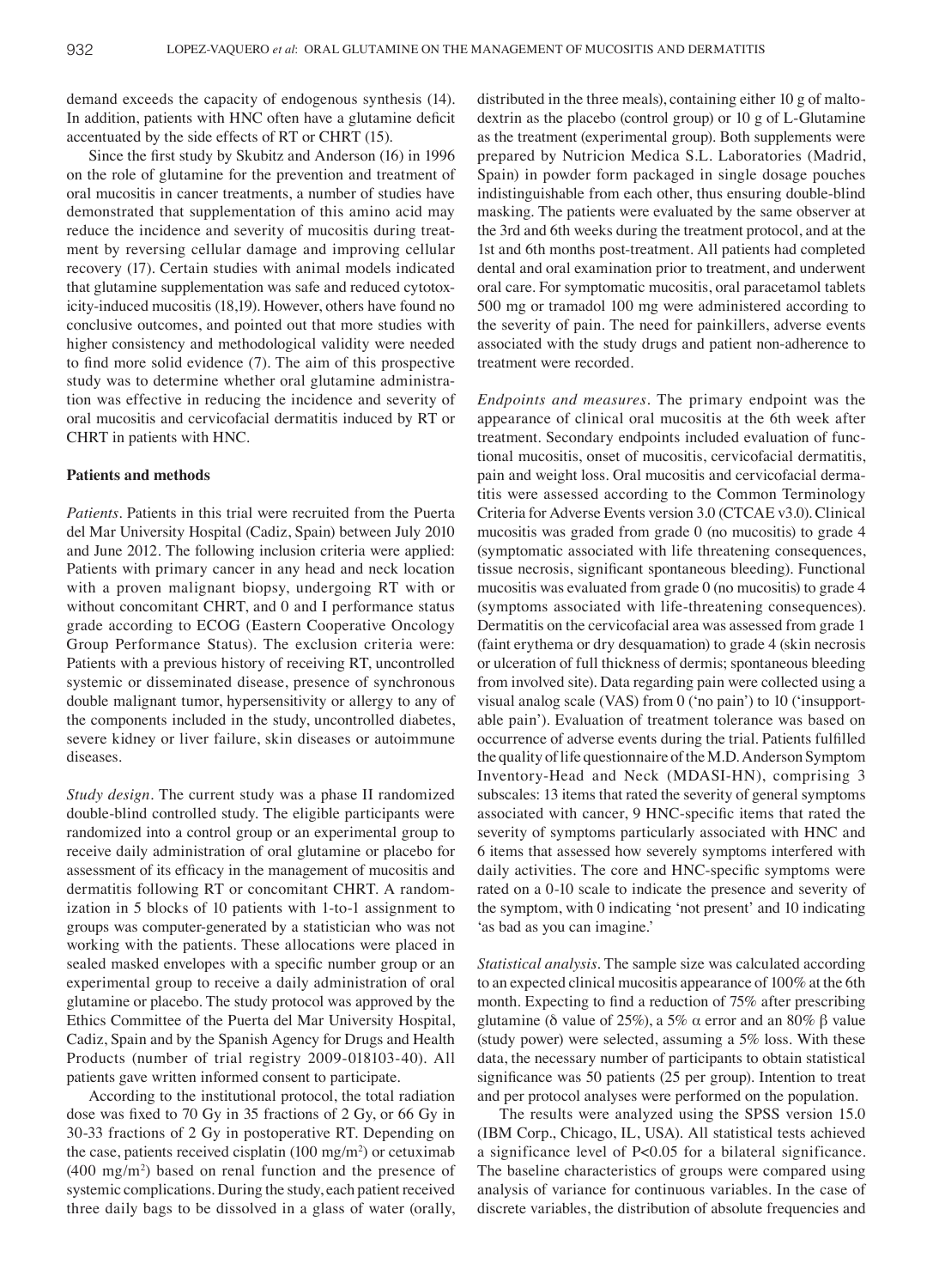demand exceeds the capacity of endogenous synthesis (14). In addition, patients with HNC often have a glutamine deficit accentuated by the side effects of RT or CHRT (15).

Since the first study by Skubitz and Anderson (16) in 1996 on the role of glutamine for the prevention and treatment of oral mucositis in cancer treatments, a number of studies have demonstrated that supplementation of this amino acid may reduce the incidence and severity of mucositis during treatment by reversing cellular damage and improving cellular recovery (17). Certain studies with animal models indicated that glutamine supplementation was safe and reduced cytotoxicity-induced mucositis (18,19). However, others have found no conclusive outcomes, and pointed out that more studies with higher consistency and methodological validity were needed to find more solid evidence (7). The aim of this prospective study was to determine whether oral glutamine administration was effective in reducing the incidence and severity of oral mucositis and cervicofacial dermatitis induced by RT or CHRT in patients with HNC.

## **Patients and methods**

*Patients.* Patients in this trial were recruited from the Puerta del Mar University Hospital (Cadiz, Spain) between July 2010 and June 2012. The following inclusion criteria were applied: Patients with primary cancer in any head and neck location with a proven malignant biopsy, undergoing RT with or without concomitant CHRT, and 0 and I performance status grade according to ECOG (Eastern Cooperative Oncology Group Performance Status). The exclusion criteria were: Patients with a previous history of receiving RT, uncontrolled systemic or disseminated disease, presence of synchronous double malignant tumor, hypersensitivity or allergy to any of the components included in the study, uncontrolled diabetes, severe kidney or liver failure, skin diseases or autoimmune diseases.

*Study design.* The current study was a phase II randomized double-blind controlled study. The eligible participants were randomized into a control group or an experimental group to receive daily administration of oral glutamine or placebo for assessment of its efficacy in the management of mucositis and dermatitis following RT or concomitant CHRT. A randomization in 5 blocks of 10 patients with 1-to-1 assignment to groups was computer-generated by a statistician who was not working with the patients. These allocations were placed in sealed masked envelopes with a specific number group or an experimental group to receive a daily administration of oral glutamine or placebo. The study protocol was approved by the Ethics Committee of the Puerta del Mar University Hospital, Cadiz, Spain and by the Spanish Agency for Drugs and Health Products (number of trial registry 2009-018103-40). All patients gave written informed consent to participate.

According to the institutional protocol, the total radiation dose was fixed to 70 Gy in 35 fractions of 2 Gy, or 66 Gy in 30-33 fractions of 2 Gy in postoperative RT. Depending on the case, patients received cisplatin  $(100 \text{ mg/m}^2)$  or cetuximab  $(400 \text{ mg/m}^2)$  based on renal function and the presence of systemic complications. During the study, each patient received three daily bags to be dissolved in a glass of water (orally,

distributed in the three meals), containing either 10 g of maltodextrin as the placebo (control group) or 10 g of L-Glutamine as the treatment (experimental group). Both supplements were prepared by Nutricion Medica S.L. Laboratories (Madrid, Spain) in powder form packaged in single dosage pouches indistinguishable from each other, thus ensuring double-blind masking. The patients were evaluated by the same observer at the 3rd and 6th weeks during the treatment protocol, and at the 1st and 6th months post-treatment. All patients had completed dental and oral examination prior to treatment, and underwent oral care. For symptomatic mucositis, oral paracetamol tablets 500 mg or tramadol 100 mg were administered according to the severity of pain. The need for painkillers, adverse events associated with the study drugs and patient non-adherence to treatment were recorded.

*Endpoints and measures.* The primary endpoint was the appearance of clinical oral mucositis at the 6th week after treatment. Secondary endpoints included evaluation of functional mucositis, onset of mucositis, cervicofacial dermatitis, pain and weight loss. Oral mucositis and cervicofacial dermatitis were assessed according to the Common Terminology Criteria for Adverse Events version 3.0 (CTCAE v3.0). Clinical mucositis was graded from grade 0 (no mucositis) to grade 4 (symptomatic associated with life threatening consequences, tissue necrosis, significant spontaneous bleeding). Functional mucositis was evaluated from grade 0 (no mucositis) to grade 4 (symptoms associated with life-threatening consequences). Dermatitis on the cervicofacial area was assessed from grade 1 (faint erythema or dry desquamation) to grade 4 (skin necrosis or ulceration of full thickness of dermis; spontaneous bleeding from involved site). Data regarding pain were collected using a visual analog scale (VAS) from 0 ('no pain') to 10 ('insupportable pain'). Evaluation of treatment tolerance was based on occurrence of adverse events during the trial. Patients fulfilled the quality of life questionnaire of the M.D. Anderson Symptom Inventory-Head and Neck (MDASI-HN), comprising 3 subscales: 13 items that rated the severity of general symptoms associated with cancer, 9 HNC‑specific items that rated the severity of symptoms particularly associated with HNC and 6 items that assessed how severely symptoms interfered with daily activities. The core and HNC-specific symptoms were rated on a 0-10 scale to indicate the presence and severity of the symptom, with 0 indicating 'not present' and 10 indicating 'as bad as you can imagine.'

*Statistical analysis.* The sample size was calculated according to an expected clinical mucositis appearance of 100% at the 6th month. Expecting to find a reduction of 75% after prescribing glutamine (δ value of 25%), a 5%  $\alpha$  error and an 80% β value (study power) were selected, assuming a 5% loss. With these data, the necessary number of participants to obtain statistical significance was 50 patients (25 per group). Intention to treat and per protocol analyses were performed on the population.

The results were analyzed using the SPSS version 15.0 (IBM Corp., Chicago, IL, USA). All statistical tests achieved a significance level of P<0.05 for a bilateral significance. The baseline characteristics of groups were compared using analysis of variance for continuous variables. In the case of discrete variables, the distribution of absolute frequencies and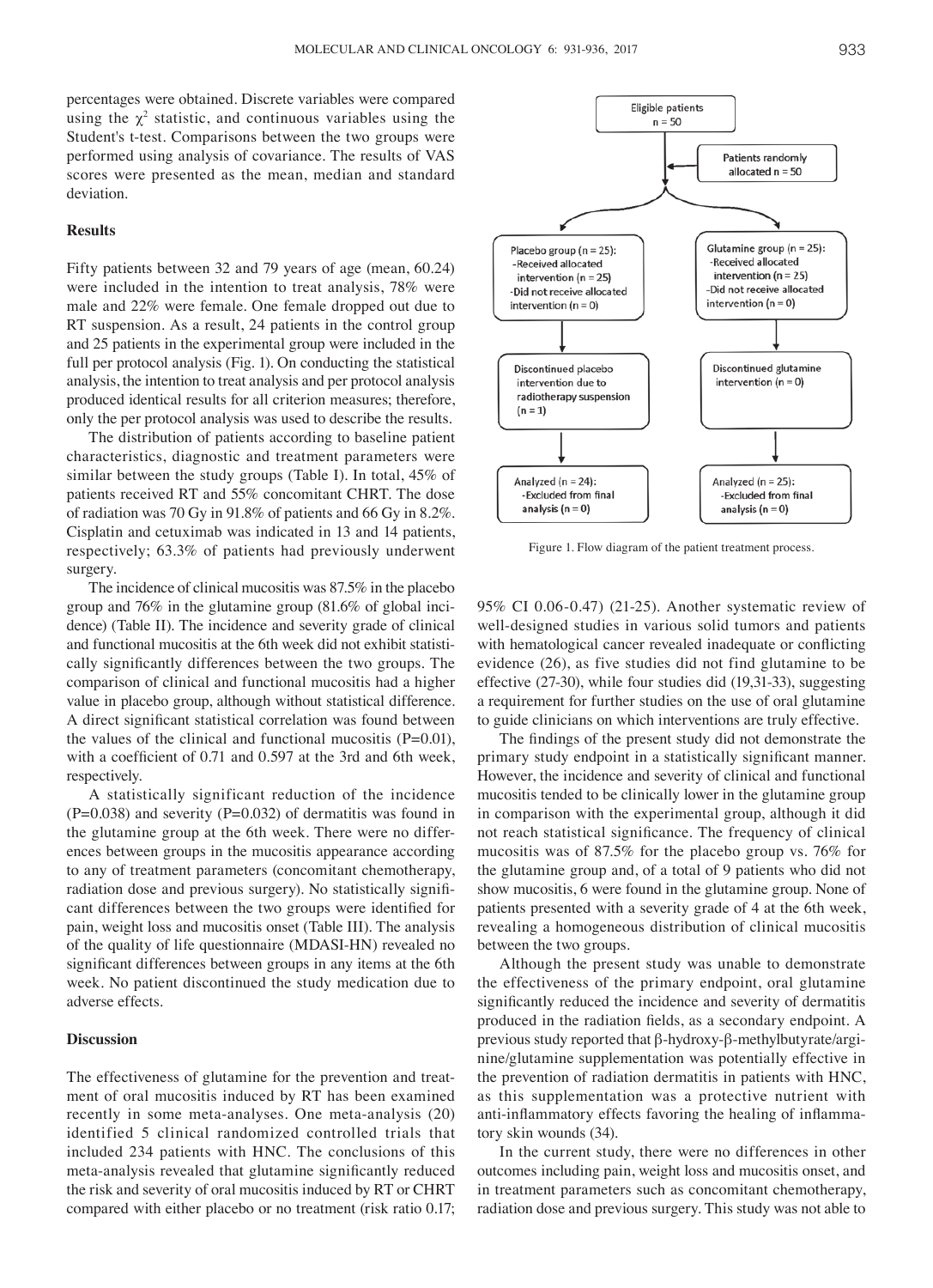percentages were obtained. Discrete variables were compared using the  $\chi^2$  statistic, and continuous variables using the Student's t-test. Comparisons between the two groups were performed using analysis of covariance. The results of VAS scores were presented as the mean, median and standard deviation.

# **Results**

Fifty patients between 32 and 79 years of age (mean, 60.24) were included in the intention to treat analysis, 78% were male and 22% were female. One female dropped out due to RT suspension. As a result, 24 patients in the control group and 25 patients in the experimental group were included in the full per protocol analysis (Fig. 1). On conducting the statistical analysis, the intention to treat analysis and per protocol analysis produced identical results for all criterion measures; therefore, only the per protocol analysis was used to describe the results.

The distribution of patients according to baseline patient characteristics, diagnostic and treatment parameters were similar between the study groups (Table I). In total, 45% of patients received RT and 55% concomitant CHRT. The dose of radiation was 70 Gy in 91.8% of patients and 66 Gy in 8.2%. Cisplatin and cetuximab was indicated in 13 and 14 patients, respectively; 63.3% of patients had previously underwent surgery.

The incidence of clinical mucositis was 87.5% in the placebo group and 76% in the glutamine group (81.6% of global incidence) (Table II). The incidence and severity grade of clinical and functional mucositis at the 6th week did not exhibit statistically significantly differences between the two groups. The comparison of clinical and functional mucositis had a higher value in placebo group, although without statistical difference. A direct significant statistical correlation was found between the values of the clinical and functional mucositis  $(P=0.01)$ , with a coefficient of 0.71 and 0.597 at the 3rd and 6th week, respectively.

A statistically significant reduction of the incidence  $(P=0.038)$  and severity  $(P=0.032)$  of dermatitis was found in the glutamine group at the 6th week. There were no differences between groups in the mucositis appearance according to any of treatment parameters (concomitant chemotherapy, radiation dose and previous surgery). No statistically significant differences between the two groups were identified for pain, weight loss and mucositis onset (Table III). The analysis of the quality of life questionnaire (MDASI-HN) revealed no significant differences between groups in any items at the 6th week. No patient discontinued the study medication due to adverse effects.

# **Discussion**

The effectiveness of glutamine for the prevention and treatment of oral mucositis induced by RT has been examined recently in some meta-analyses. One meta-analysis (20) identified 5 clinical randomized controlled trials that included 234 patients with HNC. The conclusions of this meta‑analysis revealed that glutamine significantly reduced the risk and severity of oral mucositis induced by RT or CHRT compared with either placebo or no treatment (risk ratio 0.17;



Figure 1. Flow diagram of the patient treatment process.

95% CI 0.06-0.47) (21-25). Another systematic review of well-designed studies in various solid tumors and patients with hematological cancer revealed inadequate or conflicting evidence (26), as five studies did not find glutamine to be effective (27-30), while four studies did (19,31-33), suggesting a requirement for further studies on the use of oral glutamine to guide clinicians on which interventions are truly effective.

The findings of the present study did not demonstrate the primary study endpoint in a statistically significant manner. However, the incidence and severity of clinical and functional mucositis tended to be clinically lower in the glutamine group in comparison with the experimental group, although it did not reach statistical significance. The frequency of clinical mucositis was of 87.5% for the placebo group vs. 76% for the glutamine group and, of a total of 9 patients who did not show mucositis, 6 were found in the glutamine group. None of patients presented with a severity grade of 4 at the 6th week, revealing a homogeneous distribution of clinical mucositis between the two groups.

Although the present study was unable to demonstrate the effectiveness of the primary endpoint, oral glutamine significantly reduced the incidence and severity of dermatitis produced in the radiation fields, as a secondary endpoint. A previous study reported that β-hydroxy-β-methylbutyrate/arginine/glutamine supplementation was potentially effective in the prevention of radiation dermatitis in patients with HNC, as this supplementation was a protective nutrient with anti-inflammatory effects favoring the healing of inflammatory skin wounds (34).

In the current study, there were no differences in other outcomes including pain, weight loss and mucositis onset, and in treatment parameters such as concomitant chemotherapy, radiation dose and previous surgery. This study was not able to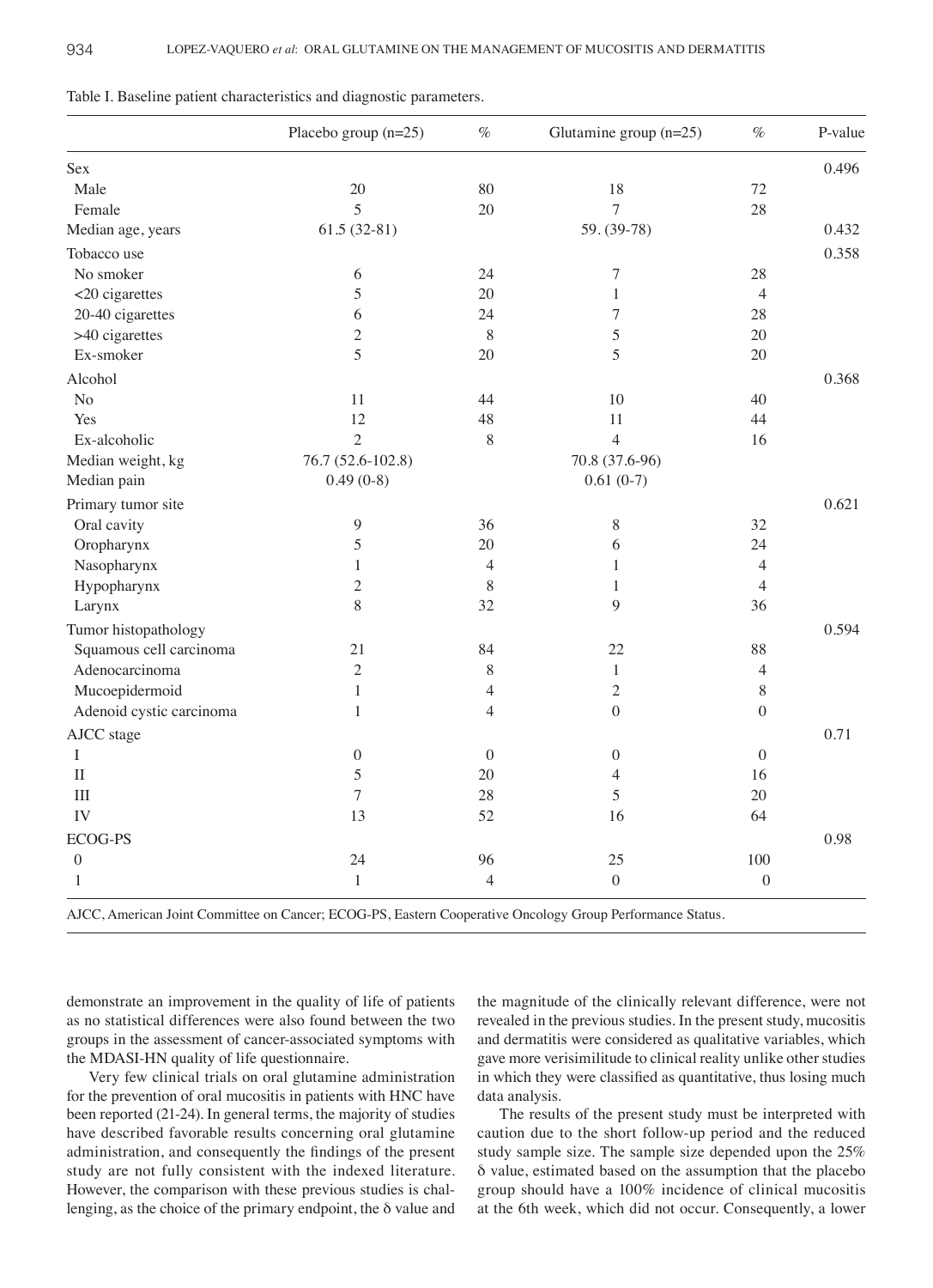|                          | Placebo group $(n=25)$ | $\%$             | Glutamine group $(n=25)$ | $\%$             | P-value |
|--------------------------|------------------------|------------------|--------------------------|------------------|---------|
| Sex                      |                        |                  |                          |                  | 0.496   |
| Male                     | 20                     | 80               | 18                       | 72               |         |
| Female                   | 5                      | 20               | $\tau$                   | 28               |         |
| Median age, years        | $61.5(32-81)$          |                  | 59. (39-78)              |                  | 0.432   |
| Tobacco use              |                        |                  |                          |                  | 0.358   |
| No smoker                | 6                      | 24               | 7                        | 28               |         |
| <20 cigarettes           | 5                      | 20               | $\mathbf{1}$             | $\overline{4}$   |         |
| 20-40 cigarettes         | 6                      | 24               | $\overline{7}$           | 28               |         |
| >40 cigarettes           | $\overline{2}$         | 8                | 5                        | 20               |         |
| Ex-smoker                | 5                      | 20               | 5                        | 20               |         |
| Alcohol                  |                        |                  |                          |                  | 0.368   |
| N <sub>o</sub>           | 11                     | 44               | 10                       | 40               |         |
| Yes                      | 12                     | 48               | 11                       | 44               |         |
| Ex-alcoholic             | $\overline{2}$         | $8\,$            | $\overline{4}$           | 16               |         |
| Median weight, kg        | 76.7 (52.6-102.8)      |                  | 70.8 (37.6-96)           |                  |         |
| Median pain              | $0.49(0-8)$            |                  | $0.61(0-7)$              |                  |         |
| Primary tumor site       |                        |                  |                          |                  | 0.621   |
| Oral cavity              | 9                      | 36               | 8                        | 32               |         |
| Oropharynx               | 5                      | 20               | 6                        | 24               |         |
| Nasopharynx              | $\mathbf{1}$           | $\overline{4}$   | $\mathbf{1}$             | $\overline{4}$   |         |
| Hypopharynx              | $\overline{2}$         | 8                | 1                        | $\overline{4}$   |         |
| Larynx                   | 8                      | 32               | 9                        | 36               |         |
| Tumor histopathology     |                        |                  |                          |                  | 0.594   |
| Squamous cell carcinoma  | 21                     | 84               | 22                       | 88               |         |
| Adenocarcinoma           | $\overline{2}$         | 8                | $\mathbf{1}$             | $\overline{4}$   |         |
| Mucoepidermoid           | 1                      | $\overline{4}$   | $\overline{2}$           | 8                |         |
| Adenoid cystic carcinoma | $\mathbf{1}$           | 4                | $\boldsymbol{0}$         | $\boldsymbol{0}$ |         |
| AJCC stage               |                        |                  |                          |                  | 0.71    |
| I                        | $\boldsymbol{0}$       | $\boldsymbol{0}$ | $\boldsymbol{0}$         | $\boldsymbol{0}$ |         |
| $\rm II$                 | 5                      | 20               | $\overline{4}$           | 16               |         |
| $\rm III$                | $\overline{7}$         | 28               | 5                        | 20               |         |
| IV                       | 13                     | 52               | 16                       | 64               |         |
| <b>ECOG-PS</b>           |                        |                  |                          |                  | 0.98    |
| $\boldsymbol{0}$         | 24                     | 96               | 25                       | 100              |         |
| 1                        | $\mathbf{1}$           | $\overline{4}$   | $\boldsymbol{0}$         | $\boldsymbol{0}$ |         |

|  |  |  |  |  | Table I. Baseline patient characteristics and diagnostic parameters. |  |  |  |  |  |
|--|--|--|--|--|----------------------------------------------------------------------|--|--|--|--|--|
|--|--|--|--|--|----------------------------------------------------------------------|--|--|--|--|--|

AJCC, American Joint Committee on Cancer; ECOG-PS, Eastern Cooperative Oncology Group Performance Status.

demonstrate an improvement in the quality of life of patients as no statistical differences were also found between the two groups in the assessment of cancer-associated symptoms with the MDASI-HN quality of life questionnaire.

Very few clinical trials on oral glutamine administration for the prevention of oral mucositis in patients with HNC have been reported (21-24). In general terms, the majority of studies have described favorable results concerning oral glutamine administration, and consequently the findings of the present study are not fully consistent with the indexed literature. However, the comparison with these previous studies is challenging, as the choice of the primary endpoint, the δ value and the magnitude of the clinically relevant difference, were not revealed in the previous studies. In the present study, mucositis and dermatitis were considered as qualitative variables, which gave more verisimilitude to clinical reality unlike other studies in which they were classified as quantitative, thus losing much data analysis.

The results of the present study must be interpreted with caution due to the short follow-up period and the reduced study sample size. The sample size depended upon the 25% δ value, estimated based on the assumption that the placebo group should have a 100% incidence of clinical mucositis at the 6th week, which did not occur. Consequently, a lower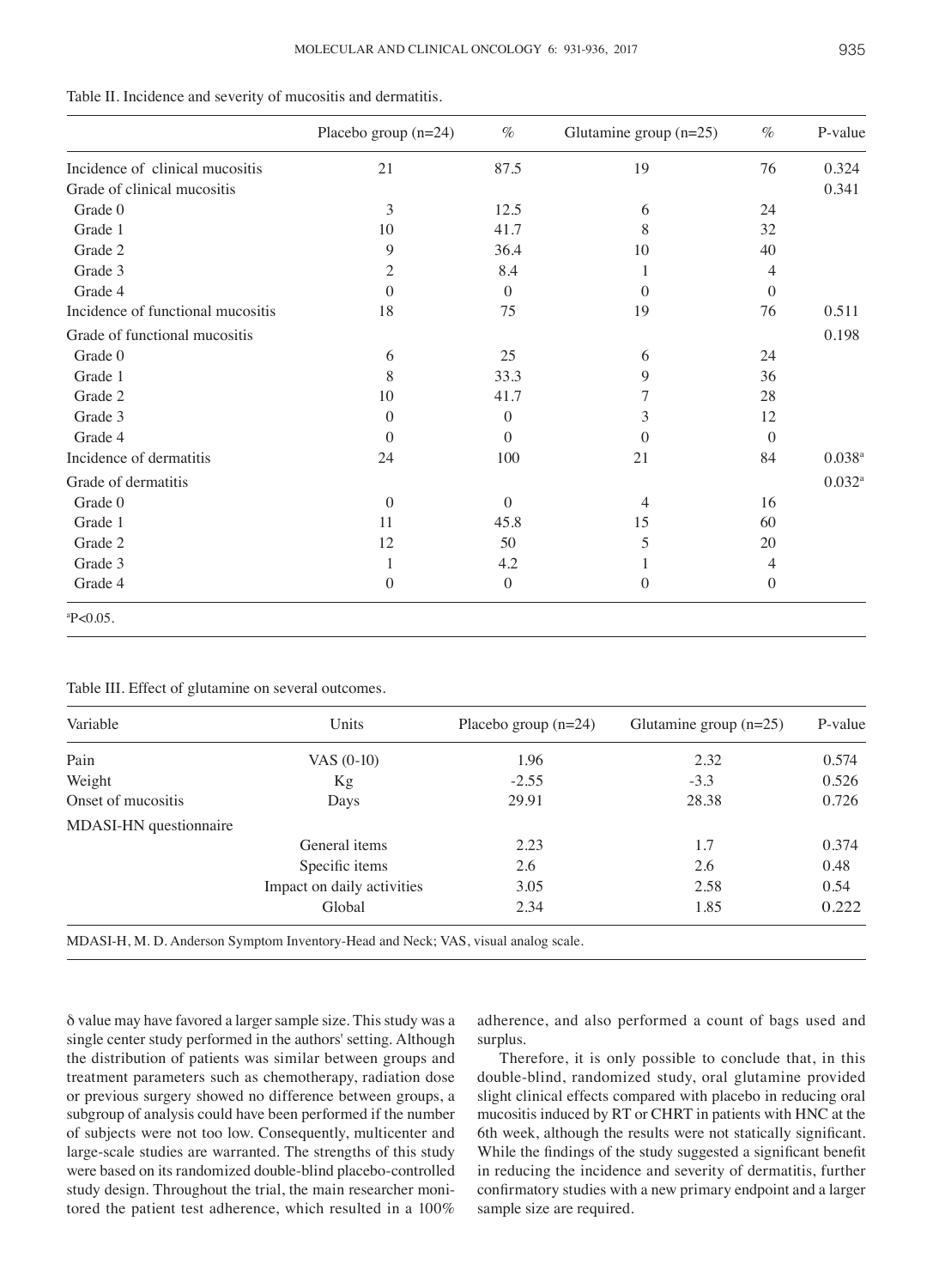|                                   | Placebo group $(n=24)$ | $\%$             | Glutamine group $(n=25)$ | $\%$           | P-value         |
|-----------------------------------|------------------------|------------------|--------------------------|----------------|-----------------|
| Incidence of clinical mucositis   | 21                     | 87.5             | 19                       | 76             | 0.324           |
| Grade of clinical mucositis       |                        |                  |                          |                | 0.341           |
| Grade 0                           | 3                      | 12.5             | 6                        | 24             |                 |
| Grade 1                           | 10                     | 41.7             | 8                        | 32             |                 |
| Grade 2                           | 9                      | 36.4             | 10                       | 40             |                 |
| Grade 3                           | $\overline{2}$         | 8.4              |                          | $\overline{4}$ |                 |
| Grade 4                           | $\theta$               | $\theta$         | $\Omega$                 | $\theta$       |                 |
| Incidence of functional mucositis | 18                     | 75               | 19                       | 76             | 0.511           |
| Grade of functional mucositis     |                        |                  |                          |                | 0.198           |
| Grade 0                           | 6                      | 25               | 6                        | 24             |                 |
| Grade 1                           | 8                      | 33.3             | 9                        | 36             |                 |
| Grade 2                           | 10                     | 41.7             |                          | 28             |                 |
| Grade 3                           | $\theta$               | $\theta$         | 3                        | 12             |                 |
| Grade 4                           | $\Omega$               | $\Omega$         | $\Omega$                 | $\Omega$       |                 |
| Incidence of dermatitis           | 24                     | 100              | 21                       | 84             | $0.038^{a}$     |
| Grade of dermatitis               |                        |                  |                          |                | $0.032^{\rm a}$ |
| Grade 0                           | $\mathbf{0}$           | $\theta$         | 4                        | 16             |                 |
| Grade 1                           | 11                     | 45.8             | 15                       | 60             |                 |
| Grade 2                           | 12                     | 50               | 5                        | 20             |                 |
| Grade 3                           | 1                      | 4.2              |                          | 4              |                 |
| Grade 4                           | $\Omega$               | $\boldsymbol{0}$ | $\theta$                 | $\overline{0}$ |                 |
| $^{a}P<0.05$ .                    |                        |                  |                          |                |                 |

Table II. Incidence and severity of mucositis and dermatitis.

Table III. Effect of glutamine on several outcomes.

| Variable               | Units                      | Placebo group $(n=24)$ | Glutamine group $(n=25)$ | P-value |
|------------------------|----------------------------|------------------------|--------------------------|---------|
| Pain                   | VAS $(0-10)$               | 1.96                   | 2.32                     | 0.574   |
| Weight                 | Kg                         | $-2.55$                | $-3.3$                   | 0.526   |
| Onset of mucositis     | Days                       | 29.91                  | 28.38                    | 0.726   |
| MDASI-HN questionnaire |                            |                        |                          |         |
|                        | General items              | 2.23                   | 1.7                      | 0.374   |
|                        | Specific items             | 2.6                    | 2.6                      | 0.48    |
|                        | Impact on daily activities | 3.05                   | 2.58                     | 0.54    |
|                        | Global                     | 2.34                   | 1.85                     | 0.222   |

δ value may have favored a larger sample size. This study was a single center study performed in the authors' setting. Although the distribution of patients was similar between groups and treatment parameters such as chemotherapy, radiation dose or previous surgery showed no difference between groups, a subgroup of analysis could have been performed if the number of subjects were not too low. Consequently, multicenter and large-scale studies are warranted. The strengths of this study were based on its randomized double-blind placebo-controlled study design. Throughout the trial, the main researcher monitored the patient test adherence, which resulted in a 100%

adherence, and also performed a count of bags used and surplus.

Therefore, it is only possible to conclude that, in this double-blind, randomized study, oral glutamine provided slight clinical effects compared with placebo in reducing oral mucositis induced by RT or CHRT in patients with HNC at the 6th week, although the results were not statically significant. While the findings of the study suggested a significant benefit in reducing the incidence and severity of dermatitis, further confirmatory studies with a new primary endpoint and a larger sample size are required.